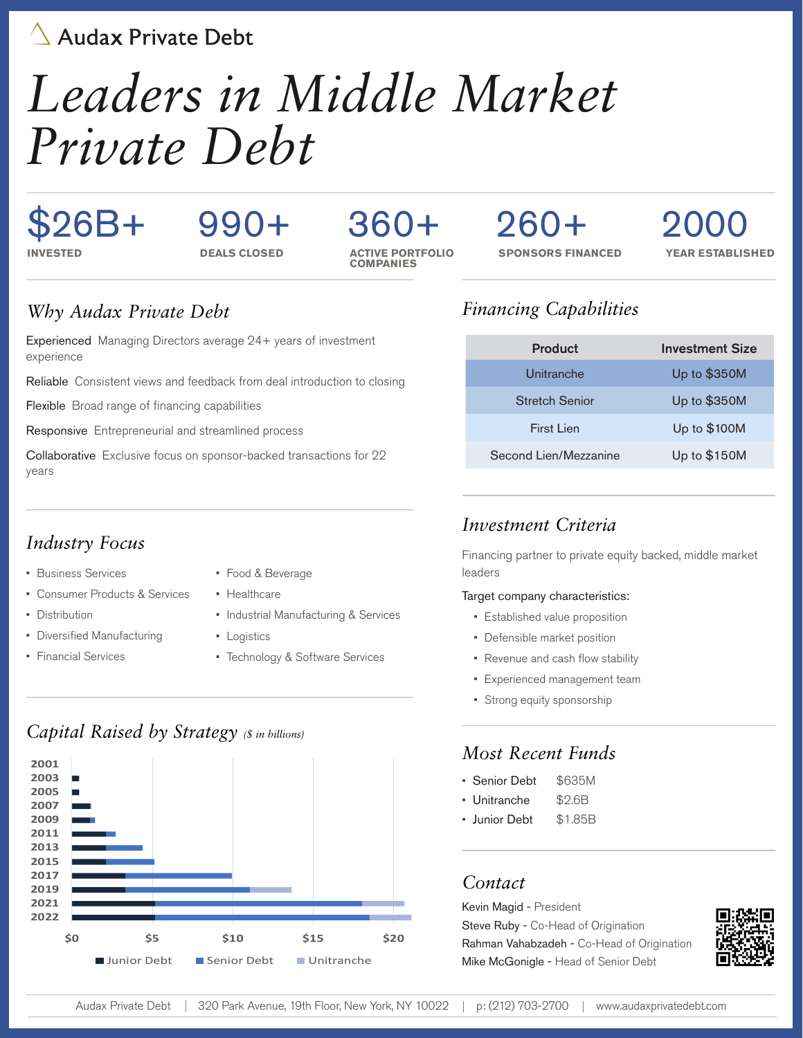Audax Private Debt

# *Leaders in Middle Market Private Debt*

### \$26B+ **INVESTED DEALS CLOSED**

# 990+ 2000 260+

### 360+ **ACTIVE PORTFOLIO COMPANIES**

**SPONSORS FINANCED** 

**YEAR ESTABLISHED**

### *Why Audax Private Debt*

Experienced Managing Directors average 24+ years of investment experience

Reliable Consistent views and feedback from deal introduction to closing

Flexible Broad range of financing capabilities

Responsive Entrepreneurial and streamlined process

Collaborative Exclusive focus on sponsor-backed transactions for 22 years

### *Industry Focus*

- Business Services
- Consumer Products & Services
- Distribution
- Diversified Manufacturing
- Financial Services
- Food & Beverage
- Healthcare
- Industrial Manufacturing & Services
- Logistics
- Technology & Software Services

### *Capital Raised by Strategy (\$ in billions)*



### *Financing Capabilities*

| Product               | <b>Investment Size</b> |
|-----------------------|------------------------|
| Unitranche            | Up to \$350M           |
| Stretch Senior        | Up to \$350M           |
| First Lien            | Up to \$100M           |
| Second Lien/Mezzanine | Up to \$150M           |

### *Investment Criteria*

Financing partner to private equity backed, middle market leaders

#### Target company characteristics:

- Established value proposition
- Defensible market position
- Revenue and cash flow stability
- Experienced management team
- Strong equity sponsorship

### *Most Recent Funds*

- Senior Debt \$635M
- Unitranche \$2.6B
- Junior Debt \$1.85B

### *Contact*

Kevin Magid - President Steve Ruby - Co-Head of Origination Rahman Vahabzadeh - Co-Head of Origination Mike McGonigle - Head of Senior Debt